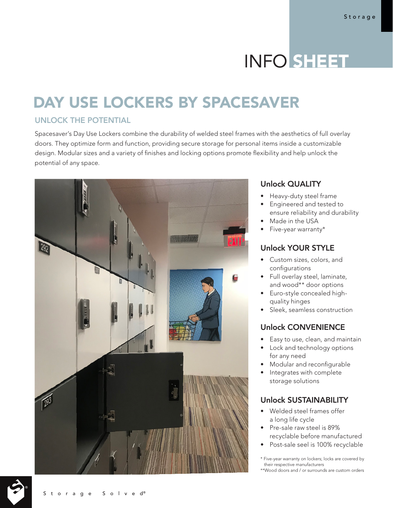# INFO SHEET

# DAY USE LOCKERS BY SPACESAVER

#### UNLOCK THE POTENTIAL

Spacesaver's Day Use Lockers combine the durability of welded steel frames with the aesthetics of full overlay doors. They optimize form and function, providing secure storage for personal items inside a customizable design. Modular sizes and a variety of finishes and locking options promote flexibility and help unlock the potential of any space.



# Unlock QUALITY

- Heavy-duty steel frame
- Engineered and tested to ensure reliability and durability
- Made in the USA
- Five-year warranty\*

#### Unlock YOUR STYLE

- Custom sizes, colors, and configurations
- Full overlay steel, laminate, and wood\*\* door options
- Euro-style concealed highquality hinges
- Sleek, seamless construction

# Unlock CONVENIENCE

- Easy to use, clean, and maintain
- Lock and technology options for any need
- Modular and reconfigurable
- Integrates with complete storage solutions

#### Unlock SUSTAINABILITY

- Welded steel frames offer a long life cycle
- Pre-sale raw steel is 89% recyclable before manufactured
- Post-sale seel is 100% recyclable

\* Five-year warranty on lockers; locks are covered by their respective manufacturers \*\*Wood doors and / or surrounds are custom orders